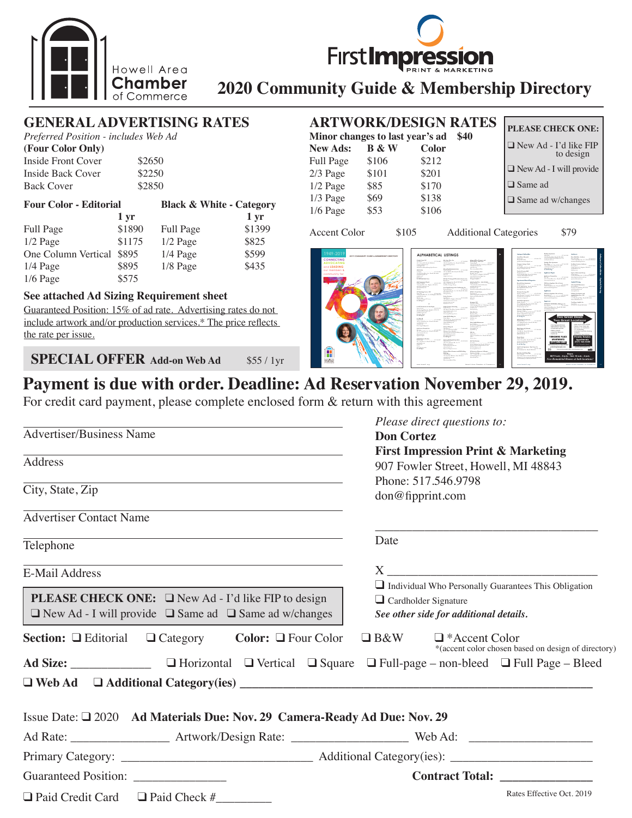

# **First Impress**

# **2020 Community Guide & Membership Directory**

## **GENERAL ADVERTISING RATES**

*Preferred Position - includes Web Ad*

| (Four Color Only)  |        |
|--------------------|--------|
| Inside Front Cover | \$2650 |
| Inside Back Cover  | \$2250 |
| <b>Back Cover</b>  | \$2850 |

| <b>Four Color - Editorial</b> |                   | <b>Black &amp; White - Category</b> |                 |
|-------------------------------|-------------------|-------------------------------------|-----------------|
|                               | $1 \,\mathrm{yr}$ |                                     | $1 \mathrm{yr}$ |
| Full Page                     | \$1890            | Full Page                           | \$1399          |
| $1/2$ Page                    | \$1175            | $1/2$ Page                          | \$825           |
| One Column Vertical           | \$895             | $1/4$ Page                          | \$599           |
| $1/4$ Page                    | \$895             | 1/8 Page                            | \$435           |
| $1/6$ Page                    | \$575             |                                     |                 |

#### **See attached Ad Sizing Requirement sheet**

Guaranteed Position: 15% of ad rate. Advertising rates do not include artwork and/or production services.\* The price reflects the rate per issue.

**SPECIAL OFFER Add-on Web Ad**  $$55/1yr$ 

## **ARTWORK/DESIGN RATES**

| ANI WONNDESIGN NATES |                                 |              |      | <b>PLEASE CHECK ONE:</b>                  |
|----------------------|---------------------------------|--------------|------|-------------------------------------------|
|                      | Minor changes to last year's ad |              | \$40 |                                           |
| <b>New Ads:</b>      | <b>B</b> & W                    | <b>Color</b> |      | $\Box$ New Ad - I'd like FIP<br>to design |
| Full Page            | \$106                           | \$212        |      |                                           |
| $2/3$ Page           | \$101                           | \$201        |      | $\Box$ New Ad - I will provide            |
| $1/2$ Page           | \$85                            | \$170        |      | $\Box$ Same ad                            |
| $1/3$ Page           | \$69                            | \$138        |      | $\Box$ Same ad w/changes                  |
| $1/6$ Page           | \$53                            | \$106        |      |                                           |
|                      |                                 |              |      |                                           |

Accent Color \$105 Additional Categories \$79





| <b>Photo Sup MA</b>                                                         | <b>Building Star Day</b>                                                   | Missaud Way Texture and                                                              |
|-----------------------------------------------------------------------------|----------------------------------------------------------------------------|--------------------------------------------------------------------------------------|
| <b>CONSUMI</b><br>So has a                                                  | <b>CONSUMI</b><br>To by Automatic Assessment Corp.                         | <b>Militadas</b> Auditor                                                             |
| The S. Annual Rd., Phone & Milletters<br><b>Richard Indian</b>              | most condition by those of entry<br>Automobiles                            | <b>ALCOHOL</b><br>1979 W. Wildle Rd. Seda box, Millerma                              |
| <b>Blackwood</b>                                                            | <b>Silver</b>                                                              | because the street for your                                                          |
| <b>Build Fourthorn Mergeller/Sections</b>                                   |                                                                            | actual to your                                                                       |
| <b>STATISTICS</b>                                                           | <b>Buy Toul Learnership</b>                                                | Now has a flat of the                                                                |
| The State Council of the State State<br><b>School</b>                       | Searchands - Control<br><b>CONTRACTOR</b><br>WITH Belleville, Head Milano, | Milano Mutano 640                                                                    |
| 1994 W Grand Blue Han, Floyall, MI 49941                                    | paintiful store but                                                        | <b>CONTRACTOR</b><br><b>Basica Gallery</b>                                           |
| <b>Eggsdahluppdison</b>                                                     | 1.11                                                                       | <b>PRIS For St. Pt Brallow, MI 49116</b>                                             |
| <b>Graduate</b><br>$\sim$                                                   | <b>Soulu Arlyway</b>                                                       | summit drive) management                                                             |
| <b>So Milleda But Form</b>                                                  | <b>Modes Thompsel Returning Selling Re-</b>                                | about next power<br><b>Burnet Service</b>                                            |
|                                                                             |                                                                            |                                                                                      |
| <b>EXTRAGANTS That's</b>                                                    | mercal booking Food of corre-                                              | Middle bat the chief debt                                                            |
| Adaptable company and many                                                  | <b>Recent Physical con-</b>                                                | McGo had a company and month.                                                        |
| Pick Law Don Av, Bolow, M. 2014.<br><b>MATCH ASSOCIATE</b>                  | <b>Par West Property Claims</b>                                            | PRESIDENT BALLAS AND ARREST<br>particularly three                                    |
| <b>Fishering and contact</b>                                                | <b>British Party &amp; Articulture</b> No.                                 | all side of the costs.                                                               |
| <b>Checker</b>                                                              |                                                                            | <b>Publishers Beng Mangellan Stations</b>                                            |
|                                                                             | terral and the city. No was though to prove                                |                                                                                      |
| 19 Technology Services ARA<br><b>ALLIN AVE</b><br><b>Secritary</b>          | <b>Southwest</b>                                                           | <b>White, Steak Print</b><br>-AAMAH<br>Exportions -                                  |
| to William Rocky, N. W. Rallaw M. Jord.                                     | <b>Platford Faster</b>                                                     | 2008 Singles Rd, Region Sons, Millers                                                |
| and Physician                                                               | <b>British Scientifica</b>                                                 | down committed and                                                                   |
| <b>The Associate</b>                                                        | Sea Phone --<br><b>ALL TAXABLE</b>                                         | $\overline{a}$                                                                       |
| Emperationage of Assess<br>Schedule 15                                      | 10 Separate Madrid Mt Avid.<br>adabatanan tau sun                          | <b>Bandwich</b>                                                                      |
|                                                                             | <b>Christmas March 2010</b>                                                | <b>Branch Std.</b>                                                                   |
| ٨                                                                           | <b>Parkman Scott</b>                                                       | a business comments<br>MATCHER                                                       |
|                                                                             |                                                                            | <b>PAIN Reservation Rd., San A. Painterprint, Net 20176</b>                          |
| <b>A R Towards E An And</b>                                                 | Minn Parker Adulting<br><b>Bullet Send --</b><br><b>COLORADO</b>           | expositioning figure as<br><b>CONTACTOR</b>                                          |
| have factors commer-<br><b>Strait Gradding by Audion Midwin</b>             | Millened, Oak Fax: Technic M. 4017                                         | <b>Particularly</b>                                                                  |
| www.asherina.com                                                            | Americansum                                                                |                                                                                      |
| exhances                                                                    | determines                                                                 | <b>Books by</b>                                                                      |
| Association                                                                 | Alexandrickson                                                             | <b>School Street</b><br><b>CONSUMER</b><br>nice & Grand Brow Bay, Newall All Althor- |
| <b>School Print</b>                                                         | Mon-Tel Police Inc.                                                        | <b>Michael Andrews</b>                                                               |
| At North                                                                    | <b>Exits Made</b><br><b>STARTS</b>                                         | Andrews                                                                              |
| and states.<br><b>CONTRACTOR</b>                                            | With Serber Rt. Pleased, MILWAY,                                           | <b>Service</b>                                                                       |
| range could buy by cheed hit court                                          | and all the first party of the property<br>deposited disease.              | <b>Ball Salut Waterman</b>                                                           |
| sender Palmass                                                              | <b>Milled</b>                                                              | technical company<br><b>ALCOHOL:</b>                                                 |
| <b>Condition</b><br><b>Basic Service President</b>                          |                                                                            | PO Borth Robert Milker                                                               |
|                                                                             | <b>Missoul Though</b>                                                      | stables in the case                                                                  |
| <b>MA Scott Scott St.</b>                                                   | the Penn<br>CARLING                                                        | departures                                                                           |
| <b>CONTRACTOR</b><br>ATTS Gradding to check to com-                         | 1077 E. Neds Sconesting<br>Thomas Ada Milleren                             | Address                                                                              |
| months before \$100.                                                        | Annual Manufacturer and modern                                             | <b>SALM</b>                                                                          |
| <b>Burnettiving</b>                                                         | alternative part conclus                                                   | <b>Statute Story --</b><br>The Company of the Company of the                         |
| Arrest Road                                                                 | <b>Backmark</b> and                                                        | 1923 Could by the Book Middle                                                        |
|                                                                             | So Miller III                                                              | 44.41<br>Kinesy Sea                                                                  |
| <b>Milk Sales Policie</b><br><b>CONTRACTOR</b><br><b>Send Back comments</b> | Missoul Fishippin Spatialist                                               |                                                                                      |
| APTS Studies N. Hoad, M. 2010.                                              | <b>ALCOHOL:</b><br>Access Manager Co.                                      | <b>BS Scholars</b>                                                                   |
| Midwell Avenue                                                              | <b>PRO Gallery Business Pla. Sat. 1741</b>                                 | - STOLEN<br>A.I. Good                                                                |
| <b>Millerin</b>                                                             | <b>Rights, M. Jerry</b><br>Americansketwar                                 | White Malaya by Band M 2021.<br><b>RONALD ANNUARY ANNUARY</b>                        |
| Point.                                                                      | department                                                                 | <b>MONARCHA</b>                                                                      |
| Alexand Search<br>Curios I                                                  | <b>Plymouthstation Score</b>                                               | Associated for Systems                                                               |
|                                                                             |                                                                            |                                                                                      |
|                                                                             | Money First Texture and Will Follow                                        | <b>Michael American Magazi</b>                                                       |
|                                                                             | <b>Today</b>                                                               | 1977 Chappened St. Park, Man Millerton                                               |
|                                                                             |                                                                            | should another all your                                                              |
|                                                                             | NEXT SENI Winner Lds V4 (800)                                              |                                                                                      |
|                                                                             | <b>MARCHARAN</b>                                                           | <b>Plaza Maritime</b>                                                                |
|                                                                             | actual to your<br><b>Black Suite Available Plant</b>                       |                                                                                      |

| Antiques Callinghiles                                                     | <b>Markets Spottment</b><br>Sale Sherwich<br><b>HEAR FOR</b>                                                                                                                                                                                                        | Ankloym                                                                |
|---------------------------------------------------------------------------|---------------------------------------------------------------------------------------------------------------------------------------------------------------------------------------------------------------------------------------------------------------------|------------------------------------------------------------------------|
| <b>Start Box Boxens</b><br>Advance-<br><b>LESSANTS</b>                    | 100 Northern Mich. Pleased, MI 48601<br>parties the publicated advertisers and                                                                                                                                                                                      | <b>Brandfielder, Andrea</b><br>has bright commerced with airs.         |
| <b>Played, ME LINES</b>                                                   | within the publication                                                                                                                                                                                                                                              | Thick constitue by the 4 Hours of Arts.                                |
| confidence on the found as a                                              |                                                                                                                                                                                                                                                                     | <b><i>Science of Architectures</i></b>                                 |
|                                                                           | Subduk Pas Aprilant<br><b>COMMERCIAL</b><br><b>Southern</b>                                                                                                                                                                                                         |                                                                        |
| <b>Skilledge Belleville Rollin</b><br><b>Lot Woods</b><br><b>ALCOHOL:</b> | 1706 Todoba Etc. Hough Mt Jewin.                                                                                                                                                                                                                                    | <b>Lindham Septima Schlage</b><br><b>HEATHER</b><br><b>Brown Brown</b> |
| <b>BEADLESS Read MAPS</b>                                                 | publicação d'antigo massacas                                                                                                                                                                                                                                        | <b>Ingiriana in Bahas Middle</b>                                       |
| brommergearche era                                                        | <b>Automotive Avenue</b><br><b>San Fall Plate Plate</b>                                                                                                                                                                                                             | <b>Michael con</b>                                                     |
| <b>Back of General Mail</b>                                               |                                                                                                                                                                                                                                                                     | Inferior                                                               |
| <b>CONTRACTOR</b><br><b>Tod: Marine</b>                                   | Analyses Render                                                                                                                                                                                                                                                     | <b>Southern Residence and Society</b>                                  |
| With Belleville, Beach Millery<br>subdoormattesses.                       |                                                                                                                                                                                                                                                                     | <b>CONTRACTOR</b>                                                      |
| to a belower lead as a                                                    | <b>Starbook South Inc.</b><br><b>CONTRACTOR</b><br><b>Richard</b>                                                                                                                                                                                                   | 1979 Soud Books, 21 Soud, M-1821<br>Asiat Pentrum Star Web cars        |
|                                                                           | APR Fred Box Av, Ford, M. 8820                                                                                                                                                                                                                                      | experience is an                                                       |
| Anamount Road Property.                                                   | and the process of the con-                                                                                                                                                                                                                                         |                                                                        |
|                                                                           |                                                                                                                                                                                                                                                                     | Andale Period                                                          |
| <b>Buildeb Terms Bootmann</b><br>leader to rack<br><b>John Avenue</b>     | <b>ERISHA Bulban Mort Scotts</b>                                                                                                                                                                                                                                    | <b>Mail Bridge Waterman</b>                                            |
| WYW.Mylaud.No. Please Mt. AM-P                                            | for Read, and Ford Minister                                                                                                                                                                                                                                         | <b>MAPS INC</b><br>the property and state of the con-                  |
| between the market work and a seat-                                       | <b><i><u><i><u><b>Dubuttre due l'Architetture</b></u></i></u></i></b>                                                                                                                                                                                               | PO By TA Raday Miller                                                  |
| <b>Service Meridian control</b>                                           | Analysis                                                                                                                                                                                                                                                            | sales francisco de altera<br>department over                           |
| <b>Human Koung AVE</b>                                                    |                                                                                                                                                                                                                                                                     |                                                                        |
| <b>Bullet Tasket</b><br><b>CONTRACTOR</b>                                 | <b>ERISHA Bulban Mort Scotts</b>                                                                                                                                                                                                                                    | <b>Education Constitution of a sell</b>                                |
| <b>PASSAGE Complete Panel 18 MAP</b><br>adabiliansi menginai              | for bright company with a right<br>114 W Great Black Ave. Frank Minister                                                                                                                                                                                            | <b>Salt &amp; Watermann S.M.</b><br><b>NOMEN</b><br><b>WELFARE</b>     |
| Automatica Avenue                                                         | <b><i><u><i><u>Advancedure And Advanced</u></i></u></i></b>                                                                                                                                                                                                         | (TV Malchale Rolp, Flood), MI 4903                                     |
|                                                                           |                                                                                                                                                                                                                                                                     | <b>CONTRACTOR</b><br>-                                                 |
| Stand Place Associates<br><b>CONTRACTOR</b><br>May 6 Hotels - Corp.       | Anandario                                                                                                                                                                                                                                                           | Total Boston Handball, Card                                            |
| <b>AT 5 Publisher Was President Advertising</b>                           |                                                                                                                                                                                                                                                                     | <b>HEAR HOLD</b>                                                       |
| podplospofskapikalna                                                      | <b>UPPEARA REPRINS A MALLA NO</b><br>Service Motors and Contract Contract Contract Contract Contract Contract Contract Contract Contract Contract Contract Contract Contract Contract Contract Contract Contract Contract Contract Contract Contract Contract Contr | Service County Atlanta                                                 |
| Annapolisasion                                                            | (U.S.S. Grand Blue, Aug. Flood, 145 6890)                                                                                                                                                                                                                           |                                                                        |
| <b>Selection Pillip Aprilement</b>                                        | toletheranean characters.                                                                                                                                                                                                                                           |                                                                        |
| <b>CONTRACTOR</b><br><b>Shannon Fashio</b>                                | en werken von                                                                                                                                                                                                                                                       |                                                                        |
| <b>Britishnan G. Food Middle</b><br>Market Hartford Area Arts can         |                                                                                                                                                                                                                                                                     |                                                                        |
| <b>Mark and Renounker of and</b>                                          |                                                                                                                                                                                                                                                                     |                                                                        |
| <b>School Property</b>                                                    |                                                                                                                                                                                                                                                                     | <b>Two Great Deals</b>                                                 |
| <b>Malled Paul Systems</b>                                                |                                                                                                                                                                                                                                                                     |                                                                        |
| <b>APRILIAN</b><br><b>Data &amp; Wilson </b>                              |                                                                                                                                                                                                                                                                     | <b>Two Great Locations</b>                                             |
| <b>WASHINGTON TO AN USE</b>                                               |                                                                                                                                                                                                                                                                     |                                                                        |
| www.freeholderad.com<br>automatica.                                       | . Fally Employed Kitchens                                                                                                                                                                                                                                           | · FREE HEAT A HOT WATER                                                |
|                                                                           | . Master Drug Heat Cox                                                                                                                                                                                                                                              | · Visible Drumblack Line                                               |
| <b>Mark Sounds Bulletin</b>                                               | - Private Balance/Palm                                                                                                                                                                                                                                              | · Seastern 1 & 2 Sedmanns                                              |
| and the property of the<br><b>CONTRACTOR</b>                              | . Mak to Desm                                                                                                                                                                                                                                                       | 1 Air Greatmenter<br>· Furnished Greyesure Heusing                     |
| <b>PAIN to Real Miles</b><br><b>Handella Bulletinia</b>                   | · Lane Pets Walsens                                                                                                                                                                                                                                                 | <b>Audubic</b>                                                         |
| <b>Marketplane</b>                                                        | · Central dir                                                                                                                                                                                                                                                       | · Quet Term Lease Onlines                                              |
|                                                                           |                                                                                                                                                                                                                                                                     |                                                                        |
| <b>Parado Boston</b><br>The Company of the American<br>Adam Seriest -     | <b>YORKSHIRE PLACE</b>                                                                                                                                                                                                                                              | <b>Prentis Estates</b>                                                 |
| 1971 box 80, Ford Miller                                                  | <b><i>APARTMENTS</i></b>                                                                                                                                                                                                                                            | <b>Apartments</b>                                                      |
| <b>MARKET AND ARRANGEMENT</b>                                             | (517) 548-5900                                                                                                                                                                                                                                                      | (517) 546-5200                                                         |
| <b>CASTAGER ARE</b><br><b>Section Ford</b>                                |                                                                                                                                                                                                                                                                     | <b>TIFE Louis At Au</b>                                                |
|                                                                           | <b>RETURNSVIEWER, POWERFIERE</b>                                                                                                                                                                                                                                    |                                                                        |
| Quicked Automotive Construction                                           | verbaltimolarmanis.com                                                                                                                                                                                                                                              | and and mark and                                                       |
| ------<br>Whitework in Food of Ohio                                       | <b>IRC</b>                                                                                                                                                                                                                                                          | mm i<br>Exhaustich beneat in 1970 vom Arbeitfrach ein                  |
|                                                                           |                                                                                                                                                                                                                                                                     |                                                                        |
| <b>Faction to Kelley Ridge</b>                                            |                                                                                                                                                                                                                                                                     | <b>Hours</b>                                                           |
| <b>CONTRACTOR</b><br><b>Ark South -</b>                                   |                                                                                                                                                                                                                                                                     |                                                                        |
| With Auto Backs, Newl, M. 2012.                                           |                                                                                                                                                                                                                                                                     | MF 9 a.m. - 6 p.m. - Sat. 10 a.m. - 2 p.m.                             |
|                                                                           |                                                                                                                                                                                                                                                                     |                                                                        |
| ship guarantees are to be defended<br>professor and heavy and the low-    | New Remodeled Homes at both locations!                                                                                                                                                                                                                              |                                                                        |

## **Payment is due with order. Deadline: Ad Reservation November 29, 2019.**

For credit card payment, please complete enclosed form & return with this agreement

| <b>Advertiser/Business Name</b>                                                                                                                                                                               | Please direct questions to:<br><b>Don Cortez</b>                                                                              |
|---------------------------------------------------------------------------------------------------------------------------------------------------------------------------------------------------------------|-------------------------------------------------------------------------------------------------------------------------------|
| Address                                                                                                                                                                                                       | <b>First Impression Print &amp; Marketing</b><br>907 Fowler Street, Howell, MI 48843                                          |
| <u> 1989 - Andrea Stadt Britain, amerikansk politik (* 1958)</u><br>City, State, Zip                                                                                                                          | Phone: 517.546.9798<br>don@fipprint.com                                                                                       |
| <b>Advertiser Contact Name</b>                                                                                                                                                                                |                                                                                                                               |
| Telephone                                                                                                                                                                                                     | Date                                                                                                                          |
| E-Mail Address                                                                                                                                                                                                |                                                                                                                               |
| <b>PLEASE CHECK ONE:</b> $\Box$ New Ad - I'd like FIP to design<br>$\Box$ New Ad - I will provide $\Box$ Same ad $\Box$ Same ad w/changes                                                                     | Individual Who Personally Guarantees This Obligation<br>$\Box$ Cardholder Signature<br>See other side for additional details. |
| <b>Section:</b> $\Box$ Editorial $\Box$ Category Color: $\Box$ Four Color $\Box$ B&W<br>Ad Size: $\Box$ $\Box$ Horizontal $\Box$ Vertical $\Box$ Square $\Box$ Full-page – non-bleed $\Box$ Full Page – Bleed | $\Box$ *Accent Color<br>*(accent color chosen based on design of directory)                                                   |
|                                                                                                                                                                                                               |                                                                                                                               |
| Issue Date: $\square$ 2020 Ad Materials Due: Nov. 29 Camera-Ready Ad Due: Nov. 29                                                                                                                             |                                                                                                                               |
|                                                                                                                                                                                                               |                                                                                                                               |
|                                                                                                                                                                                                               |                                                                                                                               |
| Guaranteed Position: ______________                                                                                                                                                                           | Contract Total:                                                                                                               |
| $\Box$ Paid Credit Card $\Box$ Paid Check #                                                                                                                                                                   | Rates Effective Oct. 2019                                                                                                     |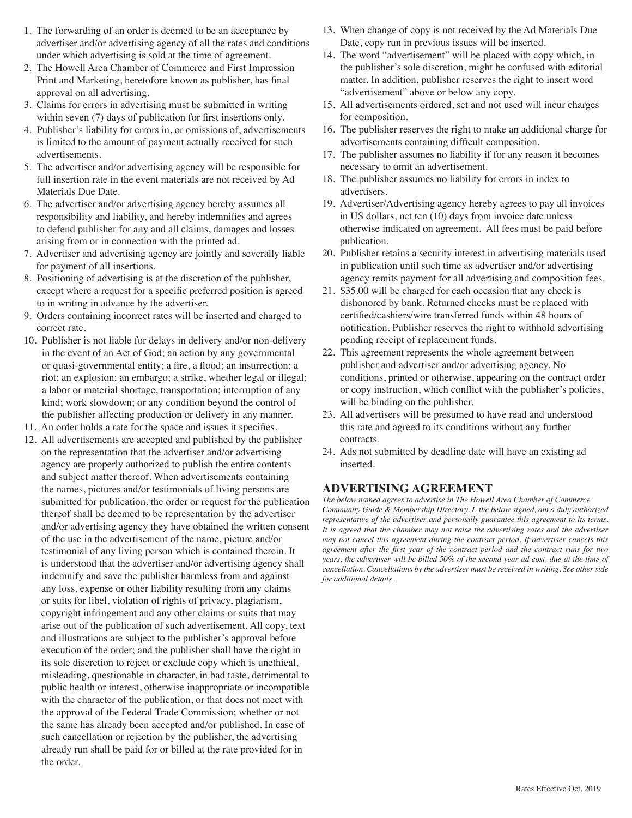- 1. The forwarding of an order is deemed to be an acceptance by advertiser and/or advertising agency of all the rates and conditions under which advertising is sold at the time of agreement.
- 2. The Howell Area Chamber of Commerce and First Impression Print and Marketing, heretofore known as publisher, has final approval on all advertising.
- 3. Claims for errors in advertising must be submitted in writing within seven (7) days of publication for first insertions only.
- 4. Publisher's liability for errors in, or omissions of, advertisements is limited to the amount of payment actually received for such advertisements.
- 5. The advertiser and/or advertising agency will be responsible for full insertion rate in the event materials are not received by Ad Materials Due Date.
- 6. The advertiser and/or advertising agency hereby assumes all responsibility and liability, and hereby indemnifies and agrees to defend publisher for any and all claims, damages and losses arising from or in connection with the printed ad.
- 7. Advertiser and advertising agency are jointly and severally liable for payment of all insertions.
- 8. Positioning of advertising is at the discretion of the publisher, except where a request for a specific preferred position is agreed to in writing in advance by the advertiser.
- 9. Orders containing incorrect rates will be inserted and charged to correct rate.
- 10. Publisher is not liable for delays in delivery and/or non-delivery in the event of an Act of God; an action by any governmental or quasi-governmental entity; a fire, a flood; an insurrection; a riot; an explosion; an embargo; a strike, whether legal or illegal; a labor or material shortage, transportation; interruption of any kind; work slowdown; or any condition beyond the control of the publisher affecting production or delivery in any manner.
- 11. An order holds a rate for the space and issues it specifies.
- 12. All advertisements are accepted and published by the publisher on the representation that the advertiser and/or advertising agency are properly authorized to publish the entire contents and subject matter thereof. When advertisements containing the names, pictures and/or testimonials of living persons are submitted for publication, the order or request for the publication thereof shall be deemed to be representation by the advertiser and/or advertising agency they have obtained the written consent of the use in the advertisement of the name, picture and/or testimonial of any living person which is contained therein. It is understood that the advertiser and/or advertising agency shall indemnify and save the publisher harmless from and against any loss, expense or other liability resulting from any claims or suits for libel, violation of rights of privacy, plagiarism, copyright infringement and any other claims or suits that may arise out of the publication of such advertisement. All copy, text and illustrations are subject to the publisher's approval before execution of the order; and the publisher shall have the right in its sole discretion to reject or exclude copy which is unethical, misleading, questionable in character, in bad taste, detrimental to public health or interest, otherwise inappropriate or incompatible with the character of the publication, or that does not meet with the approval of the Federal Trade Commission; whether or not the same has already been accepted and/or published. In case of such cancellation or rejection by the publisher, the advertising already run shall be paid for or billed at the rate provided for in the order.
- 13. When change of copy is not received by the Ad Materials Due Date, copy run in previous issues will be inserted.
- 14. The word "advertisement" will be placed with copy which, in the publisher's sole discretion, might be confused with editorial matter. In addition, publisher reserves the right to insert word "advertisement" above or below any copy.
- 15. All advertisements ordered, set and not used will incur charges for composition.
- 16. The publisher reserves the right to make an additional charge for advertisements containing difficult composition.
- 17. The publisher assumes no liability if for any reason it becomes necessary to omit an advertisement.
- 18. The publisher assumes no liability for errors in index to advertisers.
- 19. Advertiser/Advertising agency hereby agrees to pay all invoices in US dollars, net ten (10) days from invoice date unless otherwise indicated on agreement. All fees must be paid before publication.
- 20. Publisher retains a security interest in advertising materials used in publication until such time as advertiser and/or advertising agency remits payment for all advertising and composition fees.
- 21. \$35.00 will be charged for each occasion that any check is dishonored by bank. Returned checks must be replaced with certified/cashiers/wire transferred funds within 48 hours of notification. Publisher reserves the right to withhold advertising pending receipt of replacement funds.
- 22. This agreement represents the whole agreement between publisher and advertiser and/or advertising agency. No conditions, printed or otherwise, appearing on the contract order or copy instruction, which conflict with the publisher's policies, will be binding on the publisher.
- 23. All advertisers will be presumed to have read and understood this rate and agreed to its conditions without any further contracts.
- 24. Ads not submitted by deadline date will have an existing ad inserted.

#### **ADVERTISING AGREEMENT**

*The below named agrees to advertise in The Howell Area Chamber of Commerce Community Guide & Membership Directory. I, the below signed, am a duly authorized representative of the advertiser and personally guarantee this agreement to its terms. It is agreed that the chamber may not raise the advertising rates and the advertiser may not cancel this agreement during the contract period. If advertiser cancels this agreement after the first year of the contract period and the contract runs for two years, the advertiser will be billed 50% of the second year ad cost, due at the time of cancellation. Cancellations by the advertiser must be received in writing. See other side for additional details.*